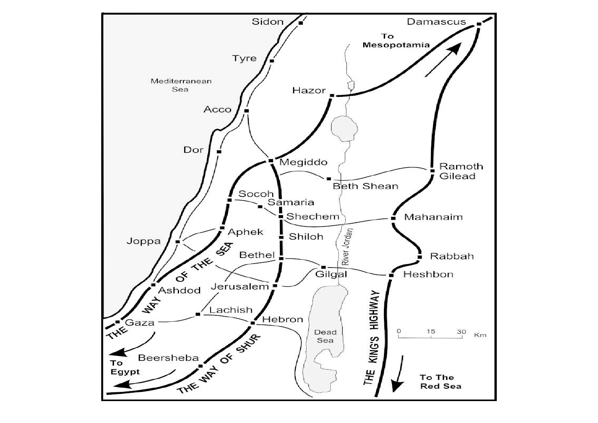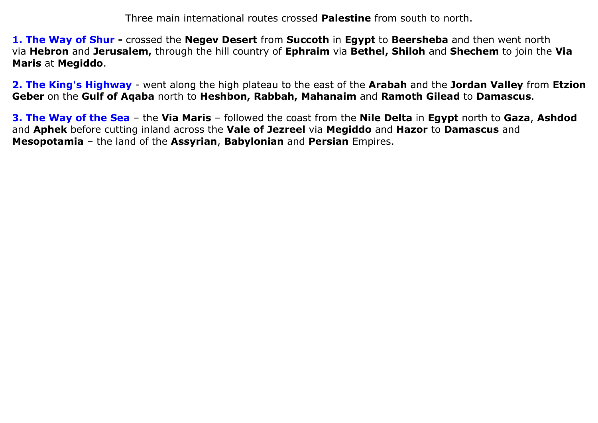Three main international routes crossed Palestine from south to north.

1. The Way of Shur - crossed the Negev Desert from Succoth in Egypt to Beersheba and then went north via Hebron and Jerusalem, through the hill country of Ephraim via Bethel, Shiloh and Shechem to join the Via Maris at Megiddo.

2. The King's Highway - went along the high plateau to the east of the Arabah and the Jordan Valley from Etzion Geber on the Gulf of Aqaba north to Heshbon, Rabbah, Mahanaim and Ramoth Gilead to Damascus.

3. The Way of the Sea – the Via Maris – followed the coast from the Nile Delta in Egypt north to Gaza, Ashdod and Aphek before cutting inland across the Vale of Jezreel via Megiddo and Hazor to Damascus and Mesopotamia – the land of the Assyrian, Babylonian and Persian Empires.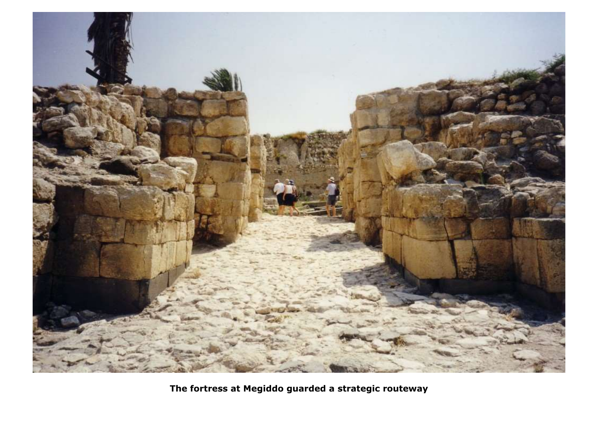

The fortress at Megiddo guarded a strategic routeway